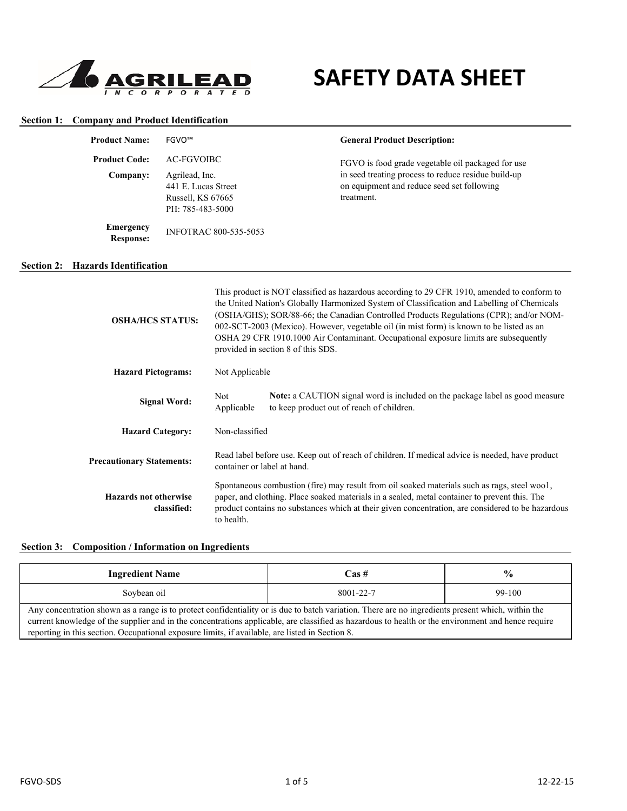

# **SAFETY DATA SHEET**

| <b>Section 1: Company and Product Identification</b> |
|------------------------------------------------------|
|                                                      |

| <b>Product Name:</b>          | FGVO™                                                                          | <b>General Product Description:</b>                                                                             |
|-------------------------------|--------------------------------------------------------------------------------|-----------------------------------------------------------------------------------------------------------------|
| <b>Product Code:</b>          | AC-FGVOIBC                                                                     | FGVO is food grade vegetable oil packaged for use                                                               |
| Company:                      | Agrilead, Inc.<br>441 E. Lucas Street<br>Russell, KS 67665<br>PH: 785-483-5000 | in seed treating process to reduce residue build-up<br>on equipment and reduce seed set following<br>treatment. |
| Emergency<br><b>Response:</b> | <b>INFOTRAC 800-535-5053</b>                                                   |                                                                                                                 |
| <b>Hazards Identification</b> |                                                                                |                                                                                                                 |

| <b>OSHA/HCS STATUS:</b>                     | This product is NOT classified as hazardous according to 29 CFR 1910, amended to conform to<br>the United Nation's Globally Harmonized System of Classification and Labelling of Chemicals<br>(OSHA/GHS); SOR/88-66; the Canadian Controlled Products Regulations (CPR); and/or NOM-<br>002-SCT-2003 (Mexico). However, vegetable oil (in mist form) is known to be listed as an<br>OSHA 29 CFR 1910.1000 Air Contaminant. Occupational exposure limits are subsequently<br>provided in section 8 of this SDS. |                                                                                                                                  |  |
|---------------------------------------------|----------------------------------------------------------------------------------------------------------------------------------------------------------------------------------------------------------------------------------------------------------------------------------------------------------------------------------------------------------------------------------------------------------------------------------------------------------------------------------------------------------------|----------------------------------------------------------------------------------------------------------------------------------|--|
| <b>Hazard Pictograms:</b>                   | Not Applicable                                                                                                                                                                                                                                                                                                                                                                                                                                                                                                 |                                                                                                                                  |  |
| <b>Signal Word:</b>                         | Not<br>Applicable                                                                                                                                                                                                                                                                                                                                                                                                                                                                                              | <b>Note:</b> a CAUTION signal word is included on the package label as good measure<br>to keep product out of reach of children. |  |
| <b>Hazard Category:</b>                     | Non-classified                                                                                                                                                                                                                                                                                                                                                                                                                                                                                                 |                                                                                                                                  |  |
| <b>Precautionary Statements:</b>            | Read label before use. Keep out of reach of children. If medical advice is needed, have product<br>container or label at hand.                                                                                                                                                                                                                                                                                                                                                                                 |                                                                                                                                  |  |
| <b>Hazards not otherwise</b><br>classified: | Spontaneous combustion (fire) may result from oil soaked materials such as rags, steel woo1,<br>paper, and clothing. Place soaked materials in a sealed, metal container to prevent this. The<br>product contains no substances which at their given concentration, are considered to be hazardous<br>to health.                                                                                                                                                                                               |                                                                                                                                  |  |

**Section 3: Composition / Information on Ingredients**

| <b>Ingredient Name</b>                                                                                                                                                                                                                                                                                                                                                                                     | Cas #     | $\frac{6}{9}$ |
|------------------------------------------------------------------------------------------------------------------------------------------------------------------------------------------------------------------------------------------------------------------------------------------------------------------------------------------------------------------------------------------------------------|-----------|---------------|
| Soybean oil                                                                                                                                                                                                                                                                                                                                                                                                | 8001-22-7 | 99-100        |
| Any concentration shown as a range is to protect confidentiality or is due to batch variation. There are no ingredients present which, within the<br>current knowledge of the supplier and in the concentrations applicable, are classified as hazardous to health or the environment and hence require<br>reporting in this section. Occupational exposure limits, if available, are listed in Section 8. |           |               |

**Section 2:**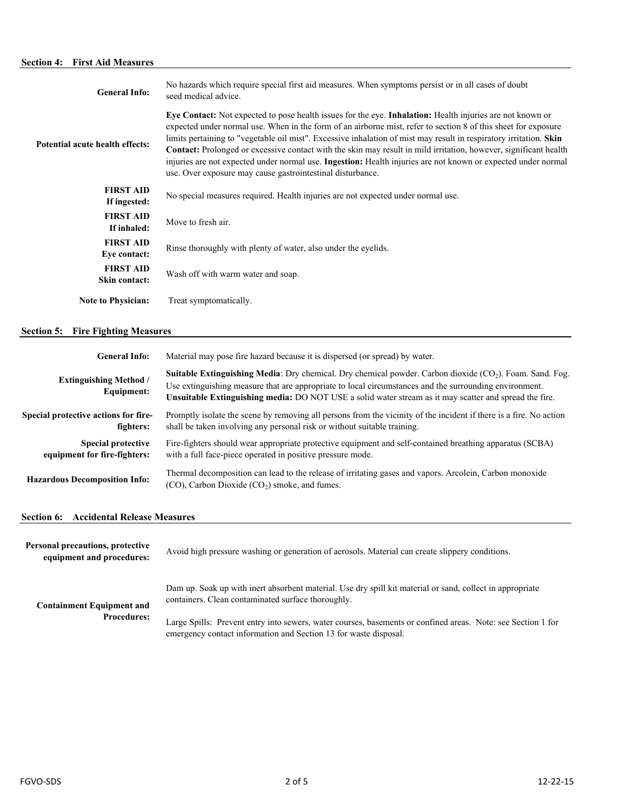# **Section 4: First Aid Measures**

| <b>General Info:</b>              | No hazards which require special first aid measures. When symptoms persist or in all cases of doubt<br>seed medical advice.                                                                                                                                                                                                                                                                                                                                                                                                                                                                                                                                 |
|-----------------------------------|-------------------------------------------------------------------------------------------------------------------------------------------------------------------------------------------------------------------------------------------------------------------------------------------------------------------------------------------------------------------------------------------------------------------------------------------------------------------------------------------------------------------------------------------------------------------------------------------------------------------------------------------------------------|
| Potential acute health effects:   | Eye Contact: Not expected to pose health issues for the eye. Inhalation: Health injuries are not known or<br>expected under normal use. When in the form of an airborne mist, refer to section 8 of this sheet for exposure<br>limits pertaining to "vegetable oil mist". Excessive inhalation of mist may result in respiratory irritation. Skin<br><b>Contact:</b> Prolonged or excessive contact with the skin may result in mild irritation, however, significant health<br>injuries are not expected under normal use. Ingestion: Health injuries are not known or expected under normal<br>use. Over exposure may cause gastrointestinal disturbance. |
| <b>FIRST AID</b><br>If ingested:  | No special measures required. Health injuries are not expected under normal use.                                                                                                                                                                                                                                                                                                                                                                                                                                                                                                                                                                            |
| <b>FIRST AID</b><br>If inhaled:   | Move to fresh air.                                                                                                                                                                                                                                                                                                                                                                                                                                                                                                                                                                                                                                          |
| <b>FIRST AID</b><br>Eye contact:  | Rinse thoroughly with plenty of water, also under the eyelids.                                                                                                                                                                                                                                                                                                                                                                                                                                                                                                                                                                                              |
| <b>FIRST AID</b><br>Skin contact: | Wash off with warm water and soap.                                                                                                                                                                                                                                                                                                                                                                                                                                                                                                                                                                                                                          |
| <b>Note to Physician:</b>         | Treat symptomatically.                                                                                                                                                                                                                                                                                                                                                                                                                                                                                                                                                                                                                                      |

# **Section 5: Fire Fighting Measures**

| <b>General Info:</b>                                      | Material may pose fire hazard because it is dispersed (or spread) by water.                                                                                                                                                                                                                                                           |  |
|-----------------------------------------------------------|---------------------------------------------------------------------------------------------------------------------------------------------------------------------------------------------------------------------------------------------------------------------------------------------------------------------------------------|--|
| <b>Extinguishing Method</b> /<br><b>Equipment:</b>        | <b>Suitable Extinguishing Media:</b> Dry chemical. Dry chemical powder. Carbon dioxide $(CO2)$ . Foam. Sand. Fog.<br>Use extinguishing measure that are appropriate to local circumstances and the surrounding environment.<br>Unsuitable Extinguishing media: DO NOT USE a solid water stream as it may scatter and spread the fire. |  |
| Special protective actions for fire-<br>fighters:         | Promptly isolate the scene by removing all persons from the vicinity of the incident if there is a fire. No action<br>shall be taken involving any personal risk or without suitable training.                                                                                                                                        |  |
| <b>Special protective</b><br>equipment for fire-fighters: | Fire-fighters should wear appropriate protective equipment and self-contained breathing apparatus (SCBA)<br>with a full face-piece operated in positive pressure mode.                                                                                                                                                                |  |
| <b>Hazardous Decomposition Info:</b>                      | Thermal decomposition can lead to the release of irritating gases and vapors. Arcolein, Carbon monoxide<br>$(CO)$ , Carbon Dioxide $(CO2)$ smoke, and fumes.                                                                                                                                                                          |  |

#### **Section 6: Accidental Release Measures**

| Personal precautions, protective<br>equipment and procedures: | Avoid high pressure washing or generation of aerosols. Material can create slippery conditions.                                                                                  |  |
|---------------------------------------------------------------|----------------------------------------------------------------------------------------------------------------------------------------------------------------------------------|--|
| <b>Containment Equipment and</b>                              | Dam up. Soak up with inert absorbent material. Use dry spill kit material or sand, collect in appropriate<br>containers. Clean contaminated surface thoroughly.                  |  |
| <b>Procedures:</b>                                            | Large Spills: Prevent entry into sewers, water courses, basements or confined areas. Note: see Section 1 for<br>emergency contact information and Section 13 for waste disposal. |  |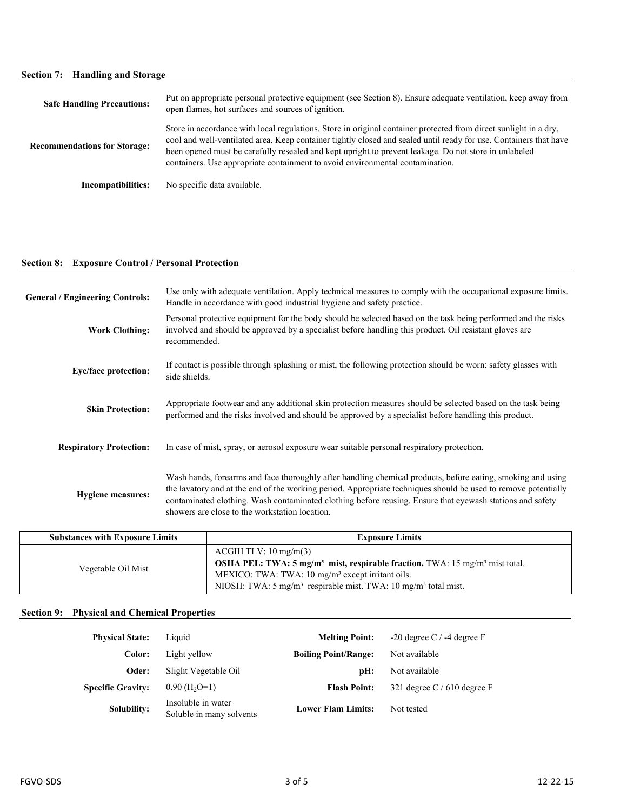# **Section 7: Handling and Storage**

| <b>Safe Handling Precautions:</b>   | Put on appropriate personal protective equipment (see Section 8). Ensure adequate ventilation, keep away from<br>open flames, hot surfaces and sources of ignition.                                                                                                                                                                                                                                                             |
|-------------------------------------|---------------------------------------------------------------------------------------------------------------------------------------------------------------------------------------------------------------------------------------------------------------------------------------------------------------------------------------------------------------------------------------------------------------------------------|
| <b>Recommendations for Storage:</b> | Store in accordance with local regulations. Store in original container protected from direct sunlight in a dry,<br>cool and well-ventilated area. Keep container tightly closed and sealed until ready for use. Containers that have<br>been opened must be carefully resealed and kept upright to prevent leakage. Do not store in unlabeled<br>containers. Use appropriate containment to avoid environmental contamination. |
| Incompatibilities:                  | No specific data available.                                                                                                                                                                                                                                                                                                                                                                                                     |

# **Section 8: Exposure Control / Personal Protection**

| <b>General / Engineering Controls:</b> | Use only with adequate ventilation. Apply technical measures to comply with the occupational exposure limits.<br>Handle in accordance with good industrial hygiene and safety practice.                                                                                                                                                                                                      |  |
|----------------------------------------|----------------------------------------------------------------------------------------------------------------------------------------------------------------------------------------------------------------------------------------------------------------------------------------------------------------------------------------------------------------------------------------------|--|
| <b>Work Clothing:</b>                  | Personal protective equipment for the body should be selected based on the task being performed and the risks<br>involved and should be approved by a specialist before handling this product. Oil resistant gloves are<br>recommended.                                                                                                                                                      |  |
| <b>Eye/face protection:</b>            | If contact is possible through splashing or mist, the following protection should be worn: safety glasses with<br>side shields.                                                                                                                                                                                                                                                              |  |
| <b>Skin Protection:</b>                | Appropriate footwear and any additional skin protection measures should be selected based on the task being<br>performed and the risks involved and should be approved by a specialist before handling this product.                                                                                                                                                                         |  |
| <b>Respiratory Protection:</b>         | In case of mist, spray, or aerosol exposure wear suitable personal respiratory protection.                                                                                                                                                                                                                                                                                                   |  |
| <b>Hygiene measures:</b>               | Wash hands, forearms and face thoroughly after handling chemical products, before eating, smoking and using<br>the lavatory and at the end of the working period. Appropriate techniques should be used to remove potentially<br>contaminated clothing. Wash contaminated clothing before reusing. Ensure that eyewash stations and safety<br>showers are close to the workstation location. |  |

| <b>Substances with Exposure Limits</b> | <b>Exposure Limits</b>                                                                                                                                                                                                                                                                      |
|----------------------------------------|---------------------------------------------------------------------------------------------------------------------------------------------------------------------------------------------------------------------------------------------------------------------------------------------|
| Vegetable Oil Mist                     | ACGIH TLV: 10 mg/m(3)<br><b>OSHA PEL:</b> TWA: 5 mg/m <sup>3</sup> mist, respirable fraction. TWA: 15 mg/m <sup>3</sup> mist total.<br>MEXICO: TWA: TWA: 10 mg/m <sup>3</sup> except irritant oils.<br>NIOSH: TWA: $5 \text{ mg/m}^3$ respirable mist. TWA: $10 \text{ mg/m}^3$ total mist. |

# **Section 9: Physical and Chemical Properties**

| <b>Physical State:</b>   | Liquid                                         | <b>Melting Point:</b>       | $-20$ degree C / $-4$ degree F |
|--------------------------|------------------------------------------------|-----------------------------|--------------------------------|
| Color:                   | Light yellow                                   | <b>Boiling Point/Range:</b> | Not available                  |
| Oder:                    | Slight Vegetable Oil                           | pH:                         | Not available                  |
| <b>Specific Gravity:</b> | $0.90$ (H <sub>2</sub> O=1)                    | <b>Flash Point:</b>         | 321 degree $C/610$ degree F    |
| <b>Solubility:</b>       | Insoluble in water<br>Soluble in many solvents | <b>Lower Flam Limits:</b>   | Not tested                     |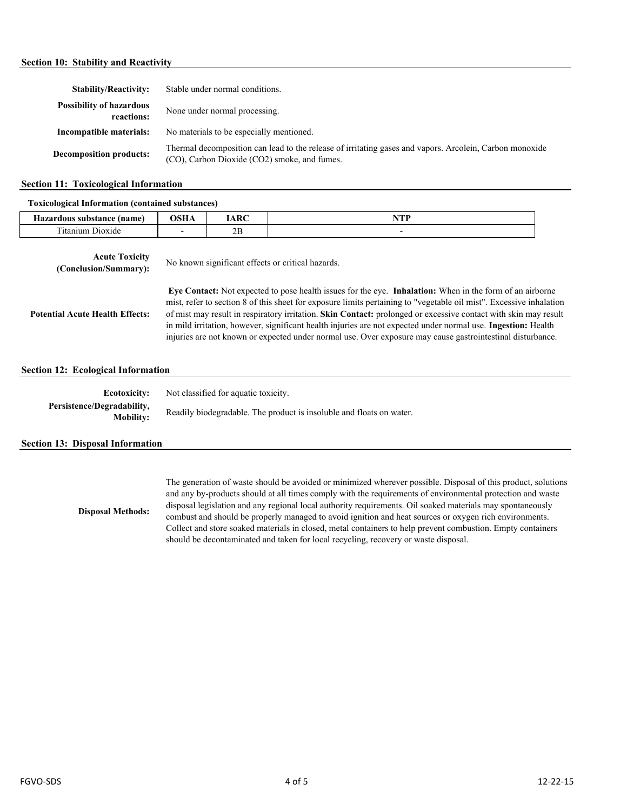#### **Section 10: Stability and Reactivity**

| <b>Stability/Reactivity:</b>                  | Stable under normal conditions.                                                                                                                         |
|-----------------------------------------------|---------------------------------------------------------------------------------------------------------------------------------------------------------|
| <b>Possibility of hazardous</b><br>reactions: | None under normal processing.                                                                                                                           |
| Incompatible materials:                       | No materials to be especially mentioned.                                                                                                                |
| <b>Decomposition products:</b>                | Thermal decomposition can lead to the release of irritating gases and vapors. Arcolein, Carbon monoxide<br>(CO), Carbon Dioxide (CO2) smoke, and fumes. |

#### **Section 11: Toxicological Information**

## **Toxicological Information (contained substances)**

| Tomocropical milor matricial (contained pubblished) |             |              |  |  |
|-----------------------------------------------------|-------------|--------------|--|--|
| Hazardous substance (name)                          | ACTT<br>љпа | $.$ D $\cap$ |  |  |
| $\sim$<br>$J10X1$ de                                |             | ∠∟           |  |  |

| <b>Acute Toxicity</b><br>(Conclusion/Summary): | No known significant effects or critical hazards.                                                                                                                                                                                                                                                                                                                                                                                                                                                                                                                                 |  |  |  |
|------------------------------------------------|-----------------------------------------------------------------------------------------------------------------------------------------------------------------------------------------------------------------------------------------------------------------------------------------------------------------------------------------------------------------------------------------------------------------------------------------------------------------------------------------------------------------------------------------------------------------------------------|--|--|--|
| <b>Potential Acute Health Effects:</b>         | Eye Contact: Not expected to pose health issues for the eye. Inhalation: When in the form of an airborne<br>mist, refer to section 8 of this sheet for exposure limits pertaining to "vegetable oil mist". Excessive inhalation<br>of mist may result in respiratory irritation. Skin Contact: prolonged or excessive contact with skin may result<br>in mild irritation, however, significant health injuries are not expected under normal use. Ingestion: Health<br>injuries are not known or expected under normal use. Over exposure may cause gastrointestinal disturbance. |  |  |  |
| <b>Section 12: Ecological Information</b>      |                                                                                                                                                                                                                                                                                                                                                                                                                                                                                                                                                                                   |  |  |  |
| <b>Ecotoxicity:</b>                            | Not classified for aquatic toxicity.                                                                                                                                                                                                                                                                                                                                                                                                                                                                                                                                              |  |  |  |
| Persistence/Degradability,<br><b>Mobility:</b> | Readily biodegradable. The product is insoluble and floats on water.                                                                                                                                                                                                                                                                                                                                                                                                                                                                                                              |  |  |  |

#### **Section 13: Disposal Information**

The generation of waste should be avoided or minimized wherever possible. Disposal of this product, solutions and any by-products should at all times comply with the requirements of environmental protection and waste disposal legislation and any regional local authority requirements. Oil soaked materials may spontaneously combust and should be properly managed to avoid ignition and heat sources or oxygen rich environments. Collect and store soaked materials in closed, metal containers to help prevent combustion. Empty containers should be decontaminated and taken for local recycling, recovery or waste disposal. **Disposal Methods:**